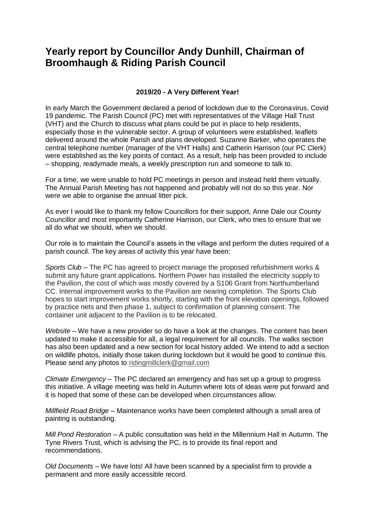## **Yearly report by Councillor Andy Dunhill, Chairman of Broomhaugh & Riding Parish Council**

## **2019/20 - A Very Different Year!**

In early March the Government declared a period of lockdown due to the Coronavirus, Covid 19 pandemic. The Parish Council (PC) met with representatives of the Village Hall Trust (VHT) and the Church to discuss what plans could be put in place to help residents, especially those in the vulnerable sector. A group of volunteers were established, leaflets delivered around the whole Parish and plans developed. Suzanne Barker, who operates the central telephone number (manager of the VHT Halls) and Catherin Harrison (our PC Clerk) were established as the key points of contact. As a result, help has been provided to include – shopping, readymade meals, a weekly prescription run and someone to talk to.

For a time, we were unable to hold PC meetings in person and instead held them virtually. The Annual Parish Meeting has not happened and probably will not do so this year. Nor were we able to organise the annual litter pick.

As ever I would like to thank my fellow Councillors for their support, Anne Dale our County Councillor and most importantly Catherine Harrison, our Clerk, who tries to ensure that we all do what we should, when we should.

Our role is to maintain the Council's assets in the village and perform the duties required of a parish council. The key areas of activity this year have been:

*Sports Club –* The PC has agreed to project manage the proposed refurbishment works & submit any future grant applications. Northern Power has installed the electricity supply to the Pavilion, the cost of which was mostly covered by a S106 Grant from Northumberland CC. Internal improvement works to the Pavilion are nearing completion. The Sports Club hopes to start improvement works shortly, starting with the front elevation openings, followed by practice nets and then phase 1, subject to confirmation of planning consent. The container unit adjacent to the Pavilion is to be relocated.

*Website –* We have a new provider so do have a look at the changes. The content has been updated to make it accessible for all, a legal requirement for all councils. The walks section has also been updated and a new section for local history added. We intend to add a section on wildlife photos, initially those taken during lockdown but it would be good to continue this. Please send any photos to [ridingmillclerk@gmail.com](mailto:ridingmillclerk@gmail.com)

*Climate Emergency –* The PC declared an emergency and has set up a group to progress this initiative. A village meeting was held in Autumn where lots of ideas were put forward and it is hoped that some of these can be developed when circumstances allow.

*Millfield Road Bridge –* Maintenance works have been completed although a small area of painting is outstanding.

*Mill Pond Restoration –* A public consultation was held in the Millennium Hall in Autumn. The Tyne Rivers Trust, which is advising the PC, is to provide its final report and recommendations.

*Old Documents –* We have lots! All have been scanned by a specialist firm to provide a permanent and more easily accessible record.